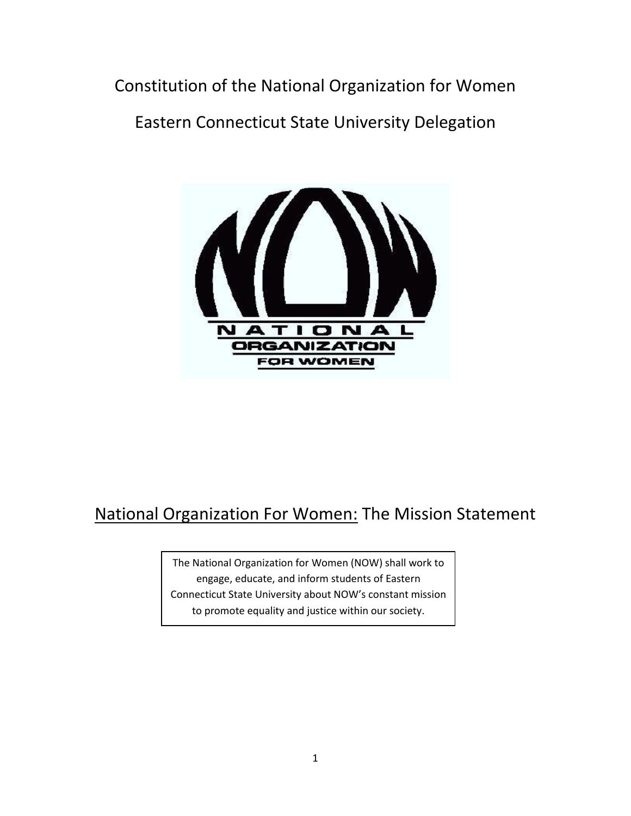Constitution of the National Organization for Women

Eastern Connecticut State University Delegation



# National Organization For Women: The Mission Statement

The National Organization for Women (NOW) shall work to engage, educate, and inform students of Eastern Connecticut State University about NOW's constant mission to promote equality and justice within our society.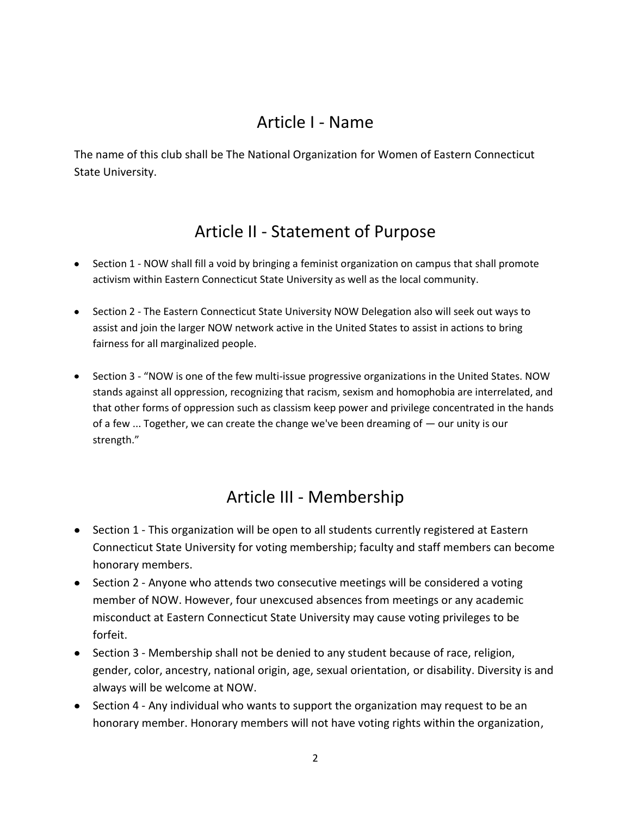### Article I - Name

The name of this club shall be The National Organization for Women of Eastern Connecticut State University.

### Article II - Statement of Purpose

- Section 1 NOW shall fill a void by bringing a feminist organization on campus that shall promote activism within Eastern Connecticut State University as well as the local community.
- Section 2 The Eastern Connecticut State University NOW Delegation also will seek out ways to assist and join the larger NOW network active in the United States to assist in actions to bring fairness for all marginalized people.
- Section 3 "NOW is one of the few multi-issue progressive organizations in the United States. NOW stands against all oppression, recognizing that racism, sexism and homophobia are interrelated, and that other forms of oppression such as classism keep power and privilege concentrated in the hands of a few ... Together, we can create the change we've been dreaming of — our unity is our strength."

## Article III - Membership

- Section 1 This organization will be open to all students currently registered at Eastern Connecticut State University for voting membership; faculty and staff members can become honorary members.
- Section 2 Anyone who attends two consecutive meetings will be considered a voting member of NOW. However, four unexcused absences from meetings or any academic misconduct at Eastern Connecticut State University may cause voting privileges to be forfeit.
- Section 3 Membership shall not be denied to any student because of race, religion, gender, color, ancestry, national origin, age, sexual orientation, or disability. Diversity is and always will be welcome at NOW.
- Section 4 Any individual who wants to support the organization may request to be an honorary member. Honorary members will not have voting rights within the organization,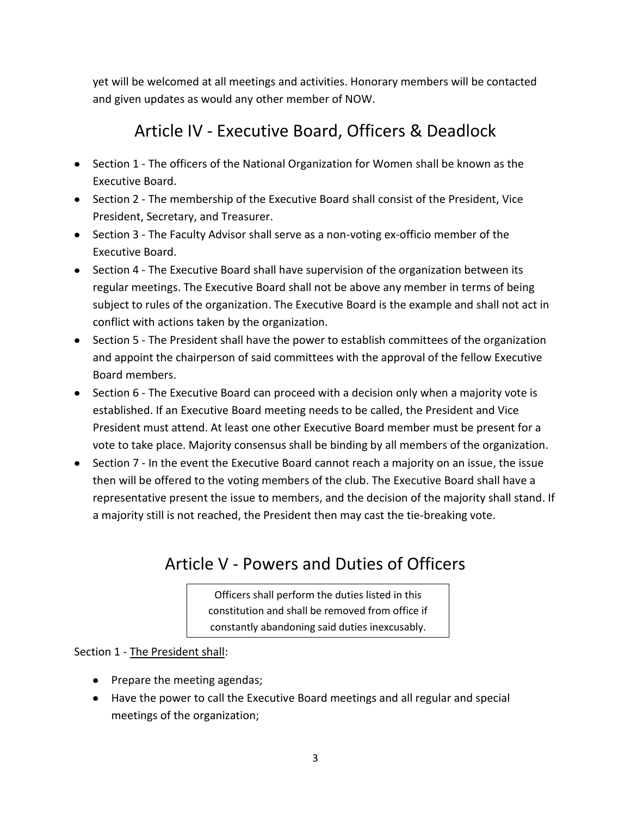yet will be welcomed at all meetings and activities. Honorary members will be contacted and given updates as would any other member of NOW.

## Article IV - Executive Board, Officers & Deadlock

- Section 1 The officers of the National Organization for Women shall be known as the Executive Board.
- Section 2 The membership of the Executive Board shall consist of the President, Vice President, Secretary, and Treasurer.
- Section 3 The Faculty Advisor shall serve as a non-voting ex-officio member of the Executive Board.
- Section 4 The Executive Board shall have supervision of the organization between its regular meetings. The Executive Board shall not be above any member in terms of being subject to rules of the organization. The Executive Board is the example and shall not act in conflict with actions taken by the organization.
- Section 5 The President shall have the power to establish committees of the organization and appoint the chairperson of said committees with the approval of the fellow Executive Board members.
- Section 6 The Executive Board can proceed with a decision only when a majority vote is established. If an Executive Board meeting needs to be called, the President and Vice President must attend. At least one other Executive Board member must be present for a vote to take place. Majority consensus shall be binding by all members of the organization.
- Section 7 In the event the Executive Board cannot reach a majority on an issue, the issue then will be offered to the voting members of the club. The Executive Board shall have a representative present the issue to members, and the decision of the majority shall stand. If a majority still is not reached, the President then may cast the tie-breaking vote.

## Article V - Powers and Duties of Officers

Officers shall perform the duties listed in this constitution and shall be removed from office if constantly abandoning said duties inexcusably.

Section 1 - The President shall:

- Prepare the meeting agendas;
- Have the power to call the Executive Board meetings and all regular and special meetings of the organization;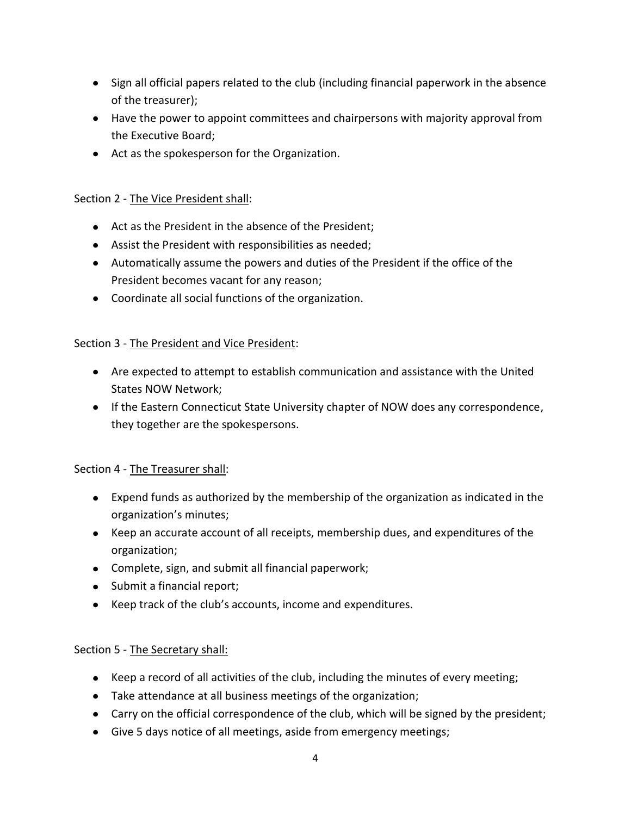- Sign all official papers related to the club (including financial paperwork in the absence of the treasurer);
- Have the power to appoint committees and chairpersons with majority approval from the Executive Board;
- Act as the spokesperson for the Organization.

#### Section 2 - The Vice President shall:

- Act as the President in the absence of the President;
- Assist the President with responsibilities as needed;
- Automatically assume the powers and duties of the President if the office of the President becomes vacant for any reason;
- Coordinate all social functions of the organization.

### Section 3 - The President and Vice President:

- Are expected to attempt to establish communication and assistance with the United States NOW Network;
- If the Eastern Connecticut State University chapter of NOW does any correspondence, they together are the spokespersons.

#### Section 4 - The Treasurer shall:

- Expend funds as authorized by the membership of the organization as indicated in the organization's minutes;
- Keep an accurate account of all receipts, membership dues, and expenditures of the organization;
- Complete, sign, and submit all financial paperwork;
- Submit a financial report;
- Keep track of the club's accounts, income and expenditures.

### Section 5 - The Secretary shall:

- Keep a record of all activities of the club, including the minutes of every meeting;
- Take attendance at all business meetings of the organization;
- Carry on the official correspondence of the club, which will be signed by the president;
- Give 5 days notice of all meetings, aside from emergency meetings;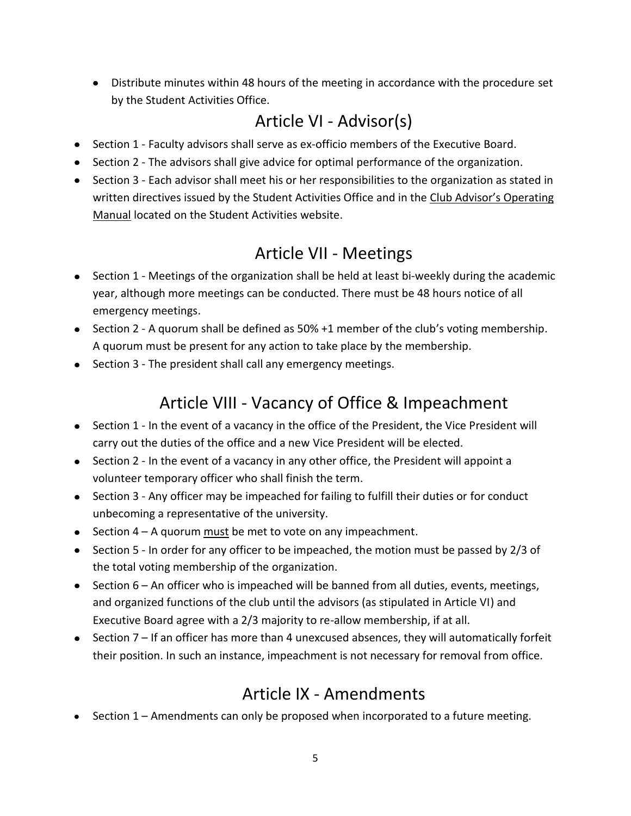Distribute minutes within 48 hours of the meeting in accordance with the procedure set by the Student Activities Office.

# Article VI - Advisor(s)

- Section 1 Faculty advisors shall serve as ex-officio members of the Executive Board.
- Section 2 The advisors shall give advice for optimal performance of the organization.
- Section 3 Each advisor shall meet his or her responsibilities to the organization as stated in written directives issued by the Student Activities Office and in the Club Advisor's Operating Manual located on the Student Activities website.

# Article VII - Meetings

- Section 1 Meetings of the organization shall be held at least bi-weekly during the academic year, although more meetings can be conducted. There must be 48 hours notice of all emergency meetings.
- Section 2 A quorum shall be defined as 50% +1 member of the club's voting membership. A quorum must be present for any action to take place by the membership.
- Section 3 The president shall call any emergency meetings.

# Article VIII - Vacancy of Office & Impeachment

- Section 1 In the event of a vacancy in the office of the President, the Vice President will carry out the duties of the office and a new Vice President will be elected.
- Section 2 In the event of a vacancy in any other office, the President will appoint a volunteer temporary officer who shall finish the term.
- Section 3 Any officer may be impeached for failing to fulfill their duties or for conduct unbecoming a representative of the university.
- $\bullet$  Section 4 A quorum must be met to vote on any impeachment.
- Section 5 In order for any officer to be impeached, the motion must be passed by 2/3 of the total voting membership of the organization.
- $\bullet$  Section 6 An officer who is impeached will be banned from all duties, events, meetings, and organized functions of the club until the advisors (as stipulated in Article VI) and Executive Board agree with a 2/3 majority to re-allow membership, if at all.
- $\bullet$  Section 7 If an officer has more than 4 unexcused absences, they will automatically forfeit their position. In such an instance, impeachment is not necessary for removal from office.

## Article IX - Amendments

• Section 1 – Amendments can only be proposed when incorporated to a future meeting.